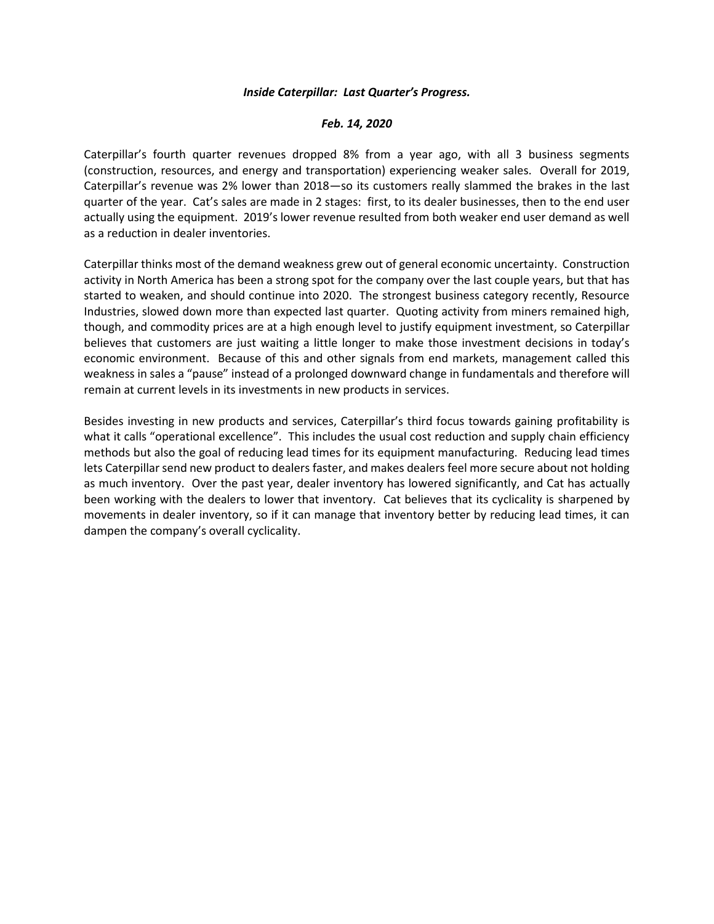## *Inside Caterpillar: Last Quarter's Progress.*

## *Feb. 14, 2020*

Caterpillar's fourth quarter revenues dropped 8% from a year ago, with all 3 business segments (construction, resources, and energy and transportation) experiencing weaker sales. Overall for 2019, Caterpillar's revenue was 2% lower than 2018—so its customers really slammed the brakes in the last quarter of the year. Cat's sales are made in 2 stages: first, to its dealer businesses, then to the end user actually using the equipment. 2019's lower revenue resulted from both weaker end user demand as well as a reduction in dealer inventories.

Caterpillar thinks most of the demand weakness grew out of general economic uncertainty. Construction activity in North America has been a strong spot for the company over the last couple years, but that has started to weaken, and should continue into 2020. The strongest business category recently, Resource Industries, slowed down more than expected last quarter. Quoting activity from miners remained high, though, and commodity prices are at a high enough level to justify equipment investment, so Caterpillar believes that customers are just waiting a little longer to make those investment decisions in today's economic environment. Because of this and other signals from end markets, management called this weakness in sales a "pause" instead of a prolonged downward change in fundamentals and therefore will remain at current levels in its investments in new products in services.

Besides investing in new products and services, Caterpillar's third focus towards gaining profitability is what it calls "operational excellence". This includes the usual cost reduction and supply chain efficiency methods but also the goal of reducing lead times for its equipment manufacturing. Reducing lead times lets Caterpillar send new product to dealers faster, and makes dealers feel more secure about not holding as much inventory. Over the past year, dealer inventory has lowered significantly, and Cat has actually been working with the dealers to lower that inventory. Cat believes that its cyclicality is sharpened by movements in dealer inventory, so if it can manage that inventory better by reducing lead times, it can dampen the company's overall cyclicality.